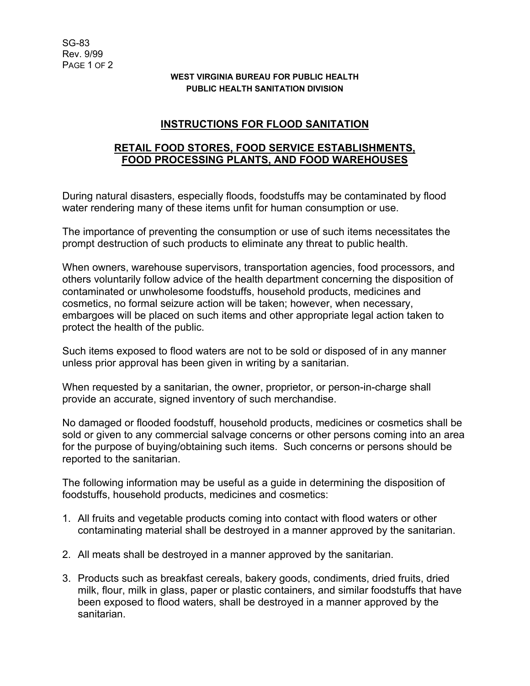## **WEST VIRGINIA BUREAU FOR PUBLIC HEALTH PUBLIC HEALTH SANITATION DIVISION**

## **INSTRUCTIONS FOR FLOOD SANITATION**

## **RETAIL FOOD STORES, FOOD SERVICE ESTABLISHMENTS, FOOD PROCESSING PLANTS, AND FOOD WAREHOUSES**

During natural disasters, especially floods, foodstuffs may be contaminated by flood water rendering many of these items unfit for human consumption or use.

The importance of preventing the consumption or use of such items necessitates the prompt destruction of such products to eliminate any threat to public health.

When owners, warehouse supervisors, transportation agencies, food processors, and others voluntarily follow advice of the health department concerning the disposition of contaminated or unwholesome foodstuffs, household products, medicines and cosmetics, no formal seizure action will be taken; however, when necessary, embargoes will be placed on such items and other appropriate legal action taken to protect the health of the public.

Such items exposed to flood waters are not to be sold or disposed of in any manner unless prior approval has been given in writing by a sanitarian.

When requested by a sanitarian, the owner, proprietor, or person-in-charge shall provide an accurate, signed inventory of such merchandise.

No damaged or flooded foodstuff, household products, medicines or cosmetics shall be sold or given to any commercial salvage concerns or other persons coming into an area for the purpose of buying/obtaining such items. Such concerns or persons should be reported to the sanitarian.

The following information may be useful as a guide in determining the disposition of foodstuffs, household products, medicines and cosmetics:

- 1. All fruits and vegetable products coming into contact with flood waters or other contaminating material shall be destroyed in a manner approved by the sanitarian.
- 2. All meats shall be destroyed in a manner approved by the sanitarian.
- 3. Products such as breakfast cereals, bakery goods, condiments, dried fruits, dried milk, flour, milk in glass, paper or plastic containers, and similar foodstuffs that have been exposed to flood waters, shall be destroyed in a manner approved by the sanitarian.